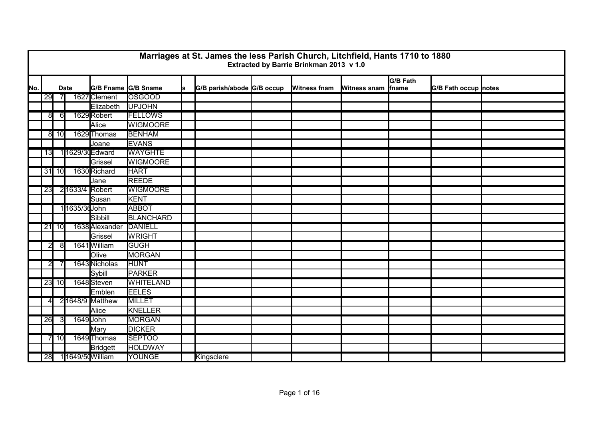|      |                |                 |                |                     |                  |    | Marriages at St. James the less Parish Church, Litchfield, Hants 1710 to 1880 | Extracted by Barrie Brinkman 2013 v 1.0 |                     |                          |                             |  |
|------|----------------|-----------------|----------------|---------------------|------------------|----|-------------------------------------------------------------------------------|-----------------------------------------|---------------------|--------------------------|-----------------------------|--|
| lΝo. |                |                 | <b>Date</b>    | G/B Fname G/B Sname |                  | ls | G/B parish/abode G/B occup                                                    | <b>Witness fnam</b>                     | <b>Witness snam</b> | <b>G/B Fath</b><br>fname | <b>G/B Fath occup notes</b> |  |
|      | 29             |                 |                | 1627 Clement        | <b>OSGOOD</b>    |    |                                                                               |                                         |                     |                          |                             |  |
|      |                |                 |                | Elizabeth           | <b>UPJOHN</b>    |    |                                                                               |                                         |                     |                          |                             |  |
|      | $\overline{8}$ | 6               |                | 1629 Robert         | <b>FELLOWS</b>   |    |                                                                               |                                         |                     |                          |                             |  |
|      |                |                 |                | Alice               | <b>WIGMOORE</b>  |    |                                                                               |                                         |                     |                          |                             |  |
|      |                | 8110            |                | 1629 Thomas         | <b>BENHAM</b>    |    |                                                                               |                                         |                     |                          |                             |  |
|      |                |                 |                | Joane               | <b>EVANS</b>     |    |                                                                               |                                         |                     |                          |                             |  |
|      | 13             |                 |                | 11629/30 Edward     | <b>WAYGHTE</b>   |    |                                                                               |                                         |                     |                          |                             |  |
|      |                |                 |                | Grissel             | <b>WIGMOORE</b>  |    |                                                                               |                                         |                     |                          |                             |  |
|      |                | $31$ 10         |                | 1630 Richard        | <b>HART</b>      |    |                                                                               |                                         |                     |                          |                             |  |
|      |                |                 |                | Jane                | <b>REEDE</b>     |    |                                                                               |                                         |                     |                          |                             |  |
|      | 23             |                 | 21633/4 Robert |                     | <b>WIGMOORE</b>  |    |                                                                               |                                         |                     |                          |                             |  |
|      |                |                 |                | Susan               | KENT             |    |                                                                               |                                         |                     |                          |                             |  |
|      |                |                 | 11635/36John   |                     | <b>ABBOT</b>     |    |                                                                               |                                         |                     |                          |                             |  |
|      |                |                 |                | Sibbill             | <b>BLANCHARD</b> |    |                                                                               |                                         |                     |                          |                             |  |
|      |                | $21$ 10         |                | 1638 Alexander      | DANIELL          |    |                                                                               |                                         |                     |                          |                             |  |
|      |                |                 |                | Grissel             | <b>WRIGHT</b>    |    |                                                                               |                                         |                     |                          |                             |  |
|      | $\overline{2}$ | 8               |                | 1641 William        | <b>IGUGH</b>     |    |                                                                               |                                         |                     |                          |                             |  |
|      |                |                 |                | Olive               | MORGAN           |    |                                                                               |                                         |                     |                          |                             |  |
|      | $\overline{2}$ |                 |                | 1643 Nicholas       | <b>HUNT</b>      |    |                                                                               |                                         |                     |                          |                             |  |
|      |                |                 |                | Sybill              | <b>PARKER</b>    |    |                                                                               |                                         |                     |                          |                             |  |
|      |                | 23 10           |                | 1648 Steven         | <b>WHITELAND</b> |    |                                                                               |                                         |                     |                          |                             |  |
|      |                |                 |                | Emblen              | <b>EELES</b>     |    |                                                                               |                                         |                     |                          |                             |  |
|      | 4              |                 |                | 21648/9 Matthew     | <b>MILLET</b>    |    |                                                                               |                                         |                     |                          |                             |  |
|      |                |                 |                | Alice               | KNELLER          |    |                                                                               |                                         |                     |                          |                             |  |
|      | 26             | -31             |                | 1649 John           | <b>MORGAN</b>    |    |                                                                               |                                         |                     |                          |                             |  |
|      |                |                 |                | Mary                | <b>DICKER</b>    |    |                                                                               |                                         |                     |                          |                             |  |
|      |                | $\overline{10}$ |                | 1649 Thomas         | <b>SEPTOO</b>    |    |                                                                               |                                         |                     |                          |                             |  |
|      |                |                 |                | Bridgett            | <b>HOLDWAY</b>   |    |                                                                               |                                         |                     |                          |                             |  |
|      | 28             |                 |                | 11649/50 William    | <b>YOUNGE</b>    |    | Kingsclere                                                                    |                                         |                     |                          |                             |  |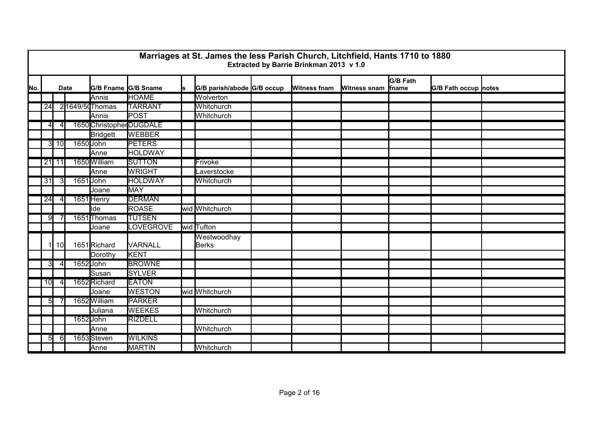|     |                 |                 |             |                          |                |    | Marriages at St. James the less Parish Church, Litchfield, Hants 1710 to 1880 | Extracted by Barrie Brinkman 2013 v 1.0 |                     |                   |                      |  |
|-----|-----------------|-----------------|-------------|--------------------------|----------------|----|-------------------------------------------------------------------------------|-----------------------------------------|---------------------|-------------------|----------------------|--|
| No. |                 |                 | <b>Date</b> | G/B Fname G/B Sname      |                | ls | G/B parish/abode G/B occup                                                    | Witness fnam                            | <b>Witness snam</b> | G/B Fath<br>fname | G/B Fath occup notes |  |
|     |                 |                 |             | <b>Annis</b>             | <b>HOAME</b>   |    | Wolverton                                                                     |                                         |                     |                   |                      |  |
|     | 24              |                 |             | 21649/50 Thomas          | <b>TARRANT</b> |    | Whitchurch                                                                    |                                         |                     |                   |                      |  |
|     |                 |                 |             | Annis                    | POST           |    | Whitchurch                                                                    |                                         |                     |                   |                      |  |
|     | $\overline{4}$  | $\overline{4}$  |             | 1650 Christopher DUGDALE |                |    |                                                                               |                                         |                     |                   |                      |  |
|     |                 |                 |             | <b>Bridgett</b>          | <b>WEBBER</b>  |    |                                                                               |                                         |                     |                   |                      |  |
|     |                 | 3110            |             | 1650 John                | <b>PETERS</b>  |    |                                                                               |                                         |                     |                   |                      |  |
|     |                 |                 |             | Anne                     | <b>HOLDWAY</b> |    |                                                                               |                                         |                     |                   |                      |  |
|     |                 | $21$ 11         |             | 1650 William             | <b>SUTTON</b>  |    | Frivoke                                                                       |                                         |                     |                   |                      |  |
|     |                 |                 |             | <b>Anne</b>              | <b>WRIGHT</b>  |    | _averstocke                                                                   |                                         |                     |                   |                      |  |
|     | 31              | 31              |             | 1651 John                | <b>HOLDWAY</b> |    | Whitchurch                                                                    |                                         |                     |                   |                      |  |
|     |                 |                 |             | Joane                    | MAY            |    |                                                                               |                                         |                     |                   |                      |  |
|     | 24              |                 |             | 1651 Henry               | <b>DERMAN</b>  |    |                                                                               |                                         |                     |                   |                      |  |
|     |                 |                 |             | llde                     | <b>ROASE</b>   |    | wid Whitchurch                                                                |                                         |                     |                   |                      |  |
|     | 9               |                 |             | 1651 Thomas              | <b>TUTSEN</b>  |    |                                                                               |                                         |                     |                   |                      |  |
|     |                 |                 |             | Joane                    | LOVEGROVE      |    | wid Tufton                                                                    |                                         |                     |                   |                      |  |
|     | $\vert$         | 10 <sup>1</sup> |             | 1651 Richard             | VARNALL        |    | Westwoodhay<br><b>Berks</b>                                                   |                                         |                     |                   |                      |  |
|     |                 |                 |             | Dorothy                  | <b>KENT</b>    |    |                                                                               |                                         |                     |                   |                      |  |
|     | 3               | 4 <sup>1</sup>  |             | 1652 John                | <b>BROWNE</b>  |    |                                                                               |                                         |                     |                   |                      |  |
|     |                 |                 |             | Susan                    | <b>SYLVER</b>  |    |                                                                               |                                         |                     |                   |                      |  |
|     | 10 <sup>l</sup> |                 |             | 1652 Richard             | <b>EATON</b>   |    |                                                                               |                                         |                     |                   |                      |  |
|     |                 |                 |             | Joane                    | <b>WESTON</b>  |    | wid Whitchurch                                                                |                                         |                     |                   |                      |  |
|     | 5 <sub>l</sub>  |                 |             | 1652 William             | <b>PARKER</b>  |    |                                                                               |                                         |                     |                   |                      |  |
|     |                 |                 |             | Juliana                  | <b>WEEKES</b>  |    | Whitchurch                                                                    |                                         |                     |                   |                      |  |
|     |                 |                 |             | 1652 John                | <b>RIZDELL</b> |    |                                                                               |                                         |                     |                   |                      |  |
|     |                 |                 |             | Anne                     |                |    | Whitchurch                                                                    |                                         |                     |                   |                      |  |
|     | 5 <sub>l</sub>  | 61              |             | 1653Steven               | <b>WILKINS</b> |    |                                                                               |                                         |                     |                   |                      |  |
|     |                 |                 |             | Anne                     | MARTIN         |    | Whitchurch                                                                    |                                         |                     |                   |                      |  |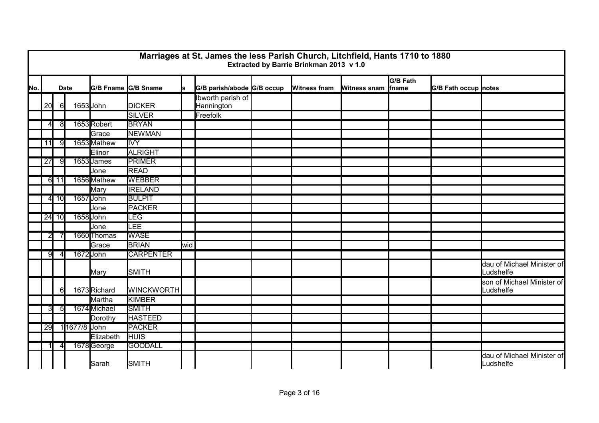|     |                 |                           |              |              |                     |     | Marriages at St. James the less Parish Church, Litchfield, Hants 1710 to 1880 | Extracted by Barrie Brinkman 2013 v 1.0 |                     |                          |                      |                                         |
|-----|-----------------|---------------------------|--------------|--------------|---------------------|-----|-------------------------------------------------------------------------------|-----------------------------------------|---------------------|--------------------------|----------------------|-----------------------------------------|
| No. |                 | <b>Date</b>               |              |              | G/B Fname G/B Sname | s   | G/B parish/abode G/B occup                                                    | <b>Witness fnam</b>                     | <b>Witness snam</b> | <b>G/B Fath</b><br>fname | G/B Fath occup notes |                                         |
|     | 20              | 61                        |              | $1653$ John  | <b>DICKER</b>       |     | Ibworth parish of<br>Hannington                                               |                                         |                     |                          |                      |                                         |
|     |                 |                           |              |              | SILVER              |     | Freefolk                                                                      |                                         |                     |                          |                      |                                         |
|     | 41              | 8                         |              | 1653Robert   | <b>BRYAN</b>        |     |                                                                               |                                         |                     |                          |                      |                                         |
|     |                 |                           |              | Grace        | <b>NEWMAN</b>       |     |                                                                               |                                         |                     |                          |                      |                                         |
|     | 11              | -9                        |              | 1653 Mathew  | <b>IVY</b>          |     |                                                                               |                                         |                     |                          |                      |                                         |
|     |                 |                           |              | Elinor       | <b>ALRIGHT</b>      |     |                                                                               |                                         |                     |                          |                      |                                         |
|     | $\overline{27}$ | 91                        |              | 1653 James   | <b>PRIMER</b>       |     |                                                                               |                                         |                     |                          |                      |                                         |
|     |                 |                           |              | Jone         | <b>READ</b>         |     |                                                                               |                                         |                     |                          |                      |                                         |
|     |                 | $6 \overline{\smash{11}}$ |              | 1656 Mathew  | <b>WEBBER</b>       |     |                                                                               |                                         |                     |                          |                      |                                         |
|     |                 |                           |              | Mary         | <b>IRELAND</b>      |     |                                                                               |                                         |                     |                          |                      |                                         |
|     |                 | $4$ 10                    |              | 1657 John    | <b>BULPIT</b>       |     |                                                                               |                                         |                     |                          |                      |                                         |
|     |                 |                           |              | Jone         | PACKER              |     |                                                                               |                                         |                     |                          |                      |                                         |
|     |                 | $24$ 10                   |              | 1658 John    | LEG                 |     |                                                                               |                                         |                     |                          |                      |                                         |
|     |                 |                           |              | Jone         | LEE                 |     |                                                                               |                                         |                     |                          |                      |                                         |
|     | 21              |                           |              | 1660 Thomas  | <b>WASE</b>         |     |                                                                               |                                         |                     |                          |                      |                                         |
|     |                 |                           |              | Grace        | <b>BRIAN</b>        | wid |                                                                               |                                         |                     |                          |                      |                                         |
|     | 91              | $\overline{4}$            |              | 1672 John    | <b>CARPENTER</b>    |     |                                                                               |                                         |                     |                          |                      |                                         |
|     |                 |                           |              | Mary         | <b>SMITH</b>        |     |                                                                               |                                         |                     |                          |                      | dau of Michael Minister of<br>Ludshelfe |
|     |                 | 61                        |              | 1673Richard  | <b>WINCKWORTH</b>   |     |                                                                               |                                         |                     |                          |                      | son of Michael Minister of<br>Ludshelfe |
|     |                 |                           |              | Martha       | KIMBER              |     |                                                                               |                                         |                     |                          |                      |                                         |
|     | $\overline{3}$  | $\overline{5}$            |              | 1674 Michael | <b>SMITH</b>        |     |                                                                               |                                         |                     |                          |                      |                                         |
|     |                 |                           |              | Dorothy      | <b>HASTEED</b>      |     |                                                                               |                                         |                     |                          |                      |                                         |
|     | 29              |                           | 11677/8 John |              | <b>PACKER</b>       |     |                                                                               |                                         |                     |                          |                      |                                         |
|     |                 |                           |              | Elizabeth    | <b>HUIS</b>         |     |                                                                               |                                         |                     |                          |                      |                                         |
|     |                 |                           |              | 1678George   | <b>GOODALL</b>      |     |                                                                               |                                         |                     |                          |                      |                                         |
|     |                 |                           |              | Sarah        | SMITH               |     |                                                                               |                                         |                     |                          |                      | dau of Michael Minister of<br>Ludshelfe |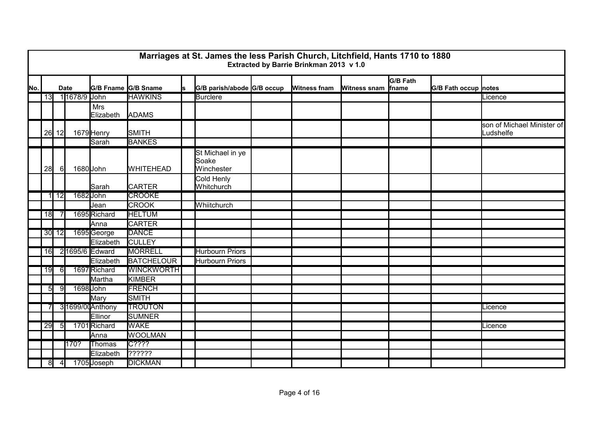|     |          |                |              |                         |                     |   | Marriages at St. James the less Parish Church, Litchfield, Hants 1710 to 1880 | Extracted by Barrie Brinkman 2013 v 1.0 |                     |                                  |                             |                                         |
|-----|----------|----------------|--------------|-------------------------|---------------------|---|-------------------------------------------------------------------------------|-----------------------------------------|---------------------|----------------------------------|-----------------------------|-----------------------------------------|
| No. |          |                | <b>Date</b>  |                         | G/B Fname G/B Sname | s | G/B parish/abode G/B occup                                                    | Witness fnam                            | <b>Witness snam</b> | <b>G/B Fath</b><br><b>f</b> name | <b>G/B Fath occup notes</b> |                                         |
|     | 13       |                | 11678/9 John |                         | <b>HAWKINS</b>      |   | <b>Burclere</b>                                                               |                                         |                     |                                  |                             | Licence                                 |
|     |          |                |              | <b>Mrs</b><br>Elizabeth | <b>ADAMS</b>        |   |                                                                               |                                         |                     |                                  |                             |                                         |
|     |          | $26$ 12        |              | 1679 Henry              | <b>SMITH</b>        |   |                                                                               |                                         |                     |                                  |                             | son of Michael Minister of<br>Ludshelfe |
|     |          |                |              | Sarah                   | <b>BANKES</b>       |   |                                                                               |                                         |                     |                                  |                             |                                         |
|     | 28       | $6 \mid$       |              | 1680 John               | <b>WHITEHEAD</b>    |   | St Michael in ye<br>Soake<br>Winchester                                       |                                         |                     |                                  |                             |                                         |
|     |          |                |              | Sarah                   | <b>CARTER</b>       |   | Cold Henly<br>Whitchurch                                                      |                                         |                     |                                  |                             |                                         |
|     |          | 1 12           |              | 1682 John               | <b>CROOKE</b>       |   |                                                                               |                                         |                     |                                  |                             |                                         |
|     |          |                |              | Jean                    | <b>CROOK</b>        |   | Whiitchurch                                                                   |                                         |                     |                                  |                             |                                         |
|     | 18       |                |              | 1695 Richard            | <b>HELTUM</b>       |   |                                                                               |                                         |                     |                                  |                             |                                         |
|     |          |                |              | Anna                    | <b>CARTER</b>       |   |                                                                               |                                         |                     |                                  |                             |                                         |
|     |          | $30$ 12        |              | 1695George              | <b>DANCE</b>        |   |                                                                               |                                         |                     |                                  |                             |                                         |
|     |          |                |              | Elizabeth               | <b>CULLEY</b>       |   |                                                                               |                                         |                     |                                  |                             |                                         |
|     | 16       |                |              | 21695/6 Edward          | <b>MORRELL</b>      |   | <b>Hurbourn Priors</b>                                                        |                                         |                     |                                  |                             |                                         |
|     |          |                |              | Elizabeth               | <b>BATCHELOUR</b>   |   | <b>Hurbourn Priors</b>                                                        |                                         |                     |                                  |                             |                                         |
|     | 19       | 6              |              | 1697 Richard            | <b>WINCKWORTH</b>   |   |                                                                               |                                         |                     |                                  |                             |                                         |
|     |          |                |              | Martha                  | KIMBER              |   |                                                                               |                                         |                     |                                  |                             |                                         |
|     | $5 \mid$ | -91            |              | 1698 John               | <b>FRENCH</b>       |   |                                                                               |                                         |                     |                                  |                             |                                         |
|     |          |                |              | Mary                    | SMITH               |   |                                                                               |                                         |                     |                                  |                             |                                         |
|     |          |                |              | 31699/00Anthony         | <b>TROUTON</b>      |   |                                                                               |                                         |                     |                                  |                             | Licence                                 |
|     |          |                |              | Ellinor                 | <b>SUMNER</b>       |   |                                                                               |                                         |                     |                                  |                             |                                         |
|     | 29       | 51             |              | 1701 Richard            | <b>WAKE</b>         |   |                                                                               |                                         |                     |                                  |                             | Licence                                 |
|     |          |                |              | Anna                    | <b>WOOLMAN</b>      |   |                                                                               |                                         |                     |                                  |                             |                                         |
|     |          |                | 170?         | Thomas                  | C <sub>3</sub> 333  |   |                                                                               |                                         |                     |                                  |                             |                                         |
|     |          |                |              | Elizabeth               | ??????              |   |                                                                               |                                         |                     |                                  |                             |                                         |
|     | 8        | $\overline{4}$ |              | 1705 Joseph             | <b>DICKMAN</b>      |   |                                                                               |                                         |                     |                                  |                             |                                         |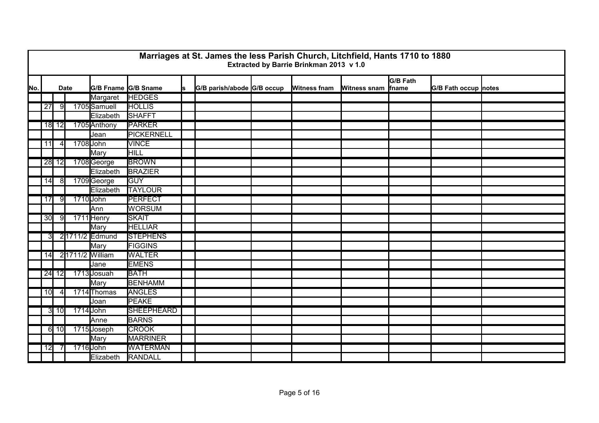|     |                 |          |             |                     |                   |    | Marriages at St. James the less Parish Church, Litchfield, Hants 1710 to 1880 | Extracted by Barrie Brinkman 2013 v 1.0 |                     |                 |                             |  |
|-----|-----------------|----------|-------------|---------------------|-------------------|----|-------------------------------------------------------------------------------|-----------------------------------------|---------------------|-----------------|-----------------------------|--|
| No. |                 |          | <b>Date</b> | G/B Fname G/B Sname |                   | ls | G/B parish/abode G/B occup                                                    | <b>Witness fnam</b>                     | Witness snam finame | <b>G/B Fath</b> | <b>G/B Fath occup notes</b> |  |
|     |                 |          |             | Margaret            | <b>HEDGES</b>     |    |                                                                               |                                         |                     |                 |                             |  |
|     | $\overline{27}$ | 9        |             | 1705 Samuell        | <b>HOLLIS</b>     |    |                                                                               |                                         |                     |                 |                             |  |
|     |                 |          |             | Elizabeth           | <b>SHAFFT</b>     |    |                                                                               |                                         |                     |                 |                             |  |
|     |                 | $18$ 12  |             | 1705 Anthony        | <b>PARKER</b>     |    |                                                                               |                                         |                     |                 |                             |  |
|     |                 |          |             | Jean                | PICKERNELL        |    |                                                                               |                                         |                     |                 |                             |  |
|     | 11              | $\vert$  |             | 1708 John           | <b>VINCE</b>      |    |                                                                               |                                         |                     |                 |                             |  |
|     |                 |          |             | Mary                | HILL              |    |                                                                               |                                         |                     |                 |                             |  |
|     |                 | $28$ 12  |             | 1708 George         | <b>BROWN</b>      |    |                                                                               |                                         |                     |                 |                             |  |
|     |                 |          |             | Elizabeth           | <b>BRAZIER</b>    |    |                                                                               |                                         |                     |                 |                             |  |
|     | 14              | 81       |             | 1709 George         | <b>IGUY</b>       |    |                                                                               |                                         |                     |                 |                             |  |
|     |                 |          |             | Elizabeth           | <b>TAYLOUR</b>    |    |                                                                               |                                         |                     |                 |                             |  |
|     | 17              | 91       |             | 1710 John           | <b>PERFECT</b>    |    |                                                                               |                                         |                     |                 |                             |  |
|     |                 |          |             | Ann                 | <b>WORSUM</b>     |    |                                                                               |                                         |                     |                 |                             |  |
|     | 30              | -91      |             | 1711 Henry          | <b>SKAIT</b>      |    |                                                                               |                                         |                     |                 |                             |  |
|     |                 |          |             | Mary                | <b>HELLIAR</b>    |    |                                                                               |                                         |                     |                 |                             |  |
|     | $\overline{3}$  |          |             | 21711/2 Edmund      | <b>STEPHENS</b>   |    |                                                                               |                                         |                     |                 |                             |  |
|     |                 |          |             | Mary                | <b>FIGGINS</b>    |    |                                                                               |                                         |                     |                 |                             |  |
|     | 14              |          |             | 2 1711/2 William    | <b>WALTER</b>     |    |                                                                               |                                         |                     |                 |                             |  |
|     |                 |          |             | Jane                | <b>EMENS</b>      |    |                                                                               |                                         |                     |                 |                             |  |
|     |                 | $24$ 12  |             | 1713 Josuah         | <b>BATH</b>       |    |                                                                               |                                         |                     |                 |                             |  |
|     |                 |          |             | Mary                | <b>BENHAMM</b>    |    |                                                                               |                                         |                     |                 |                             |  |
|     | 10              | $\Delta$ |             | 1714 Thomas         | <b>ANGLES</b>     |    |                                                                               |                                         |                     |                 |                             |  |
|     |                 |          |             | Joan                | <b>PEAKE</b>      |    |                                                                               |                                         |                     |                 |                             |  |
|     |                 | $3$ 10   |             | 1714 John           | <b>SHEEPHEARD</b> |    |                                                                               |                                         |                     |                 |                             |  |
|     |                 |          |             | Anne                | <b>BARNS</b>      |    |                                                                               |                                         |                     |                 |                             |  |
|     |                 | $6$ 10   |             | 1715 Joseph         | <b>CROOK</b>      |    |                                                                               |                                         |                     |                 |                             |  |
|     |                 |          |             | Mary                | <b>MARRINER</b>   |    |                                                                               |                                         |                     |                 |                             |  |
|     | 12              |          |             | 1716 John           | <b>WATERMAN</b>   |    |                                                                               |                                         |                     |                 |                             |  |
|     |                 |          |             | Elizabeth           | RANDALL           |    |                                                                               |                                         |                     |                 |                             |  |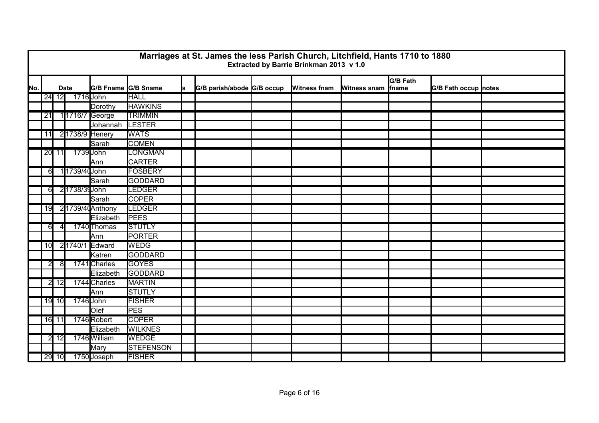|     |                 |         |              |                     |                |    | Marriages at St. James the less Parish Church, Litchfield, Hants 1710 to 1880 | Extracted by Barrie Brinkman 2013 v 1.0 |                     |                   |                             |  |
|-----|-----------------|---------|--------------|---------------------|----------------|----|-------------------------------------------------------------------------------|-----------------------------------------|---------------------|-------------------|-----------------------------|--|
| No. |                 |         | <b>Date</b>  | G/B Fname G/B Sname |                | ls | G/B parish/abode G/B occup                                                    | <b>Witness fnam</b>                     | <b>Witness snam</b> | G/B Fath<br>fname | <b>G/B Fath occup notes</b> |  |
|     |                 | 24 12   |              | 1716 John           | <b>HALL</b>    |    |                                                                               |                                         |                     |                   |                             |  |
|     |                 |         |              | Dorothy             | <b>HAWKINS</b> |    |                                                                               |                                         |                     |                   |                             |  |
|     | $\overline{21}$ |         |              | 1 1716/7 George     | <b>TRIMMIN</b> |    |                                                                               |                                         |                     |                   |                             |  |
|     |                 |         |              | Johannah            | LESTER         |    |                                                                               |                                         |                     |                   |                             |  |
|     | 11              |         |              | 2 1738/9 Henery     | <b>WATS</b>    |    |                                                                               |                                         |                     |                   |                             |  |
|     |                 |         |              | Sarah               | <b>COMEN</b>   |    |                                                                               |                                         |                     |                   |                             |  |
|     |                 | $20$ 11 |              | 1739 John           | LONGMAN        |    |                                                                               |                                         |                     |                   |                             |  |
|     |                 |         |              | Ann                 | <b>CARTER</b>  |    |                                                                               |                                         |                     |                   |                             |  |
|     | $6 \mid$        |         | 11739/40John |                     | <b>FOSBERY</b> |    |                                                                               |                                         |                     |                   |                             |  |
|     |                 |         |              | Sarah               | <b>GODDARD</b> |    |                                                                               |                                         |                     |                   |                             |  |
|     | 61              |         | 21738/39John |                     | <b>LEDGER</b>  |    |                                                                               |                                         |                     |                   |                             |  |
|     |                 |         |              | Sarah               | <b>COPER</b>   |    |                                                                               |                                         |                     |                   |                             |  |
|     | 19              |         |              | 21739/40Anthony     | <b>LEDGER</b>  |    |                                                                               |                                         |                     |                   |                             |  |
|     |                 |         |              | Elizabeth           | <b>PEES</b>    |    |                                                                               |                                         |                     |                   |                             |  |
|     | $6 \mid$        | 4       |              | 1740 Thomas         | <b>STUTLY</b>  |    |                                                                               |                                         |                     |                   |                             |  |
|     |                 |         |              | <b>Ann</b>          | PORTER         |    |                                                                               |                                         |                     |                   |                             |  |
|     | 10              |         |              | 21740/1 Edward      | <b>WEDG</b>    |    |                                                                               |                                         |                     |                   |                             |  |
|     |                 |         |              | Katren              | <b>GODDARD</b> |    |                                                                               |                                         |                     |                   |                             |  |
|     | $\overline{2}$  | 81      |              | 1741 Charles        | <b>GOYES</b>   |    |                                                                               |                                         |                     |                   |                             |  |
|     |                 |         |              | Elizabeth           | GODDARD        |    |                                                                               |                                         |                     |                   |                             |  |
|     |                 | 2 12    |              | 1744 Charles        | <b>MARTIN</b>  |    |                                                                               |                                         |                     |                   |                             |  |
|     |                 |         |              | Ann                 | <b>STUTLY</b>  |    |                                                                               |                                         |                     |                   |                             |  |
|     |                 | 19 10   |              | 1746 John           | <b>FISHER</b>  |    |                                                                               |                                         |                     |                   |                             |  |
|     |                 |         |              | Olef                | <b>PES</b>     |    |                                                                               |                                         |                     |                   |                             |  |
|     |                 | 16 11   |              | 1746 Robert         | <b>COPER</b>   |    |                                                                               |                                         |                     |                   |                             |  |
|     |                 |         |              | Elizabeth           | <b>WILKNES</b> |    |                                                                               |                                         |                     |                   |                             |  |
|     | $\overline{2}$  | 12      |              | 1746 William        | <b>WEDGE</b>   |    |                                                                               |                                         |                     |                   |                             |  |
|     |                 |         |              | Mary                | STEFENSON      |    |                                                                               |                                         |                     |                   |                             |  |
|     |                 | $29$ 10 |              | 1750 Joseph         | <b>FISHER</b>  |    |                                                                               |                                         |                     |                   |                             |  |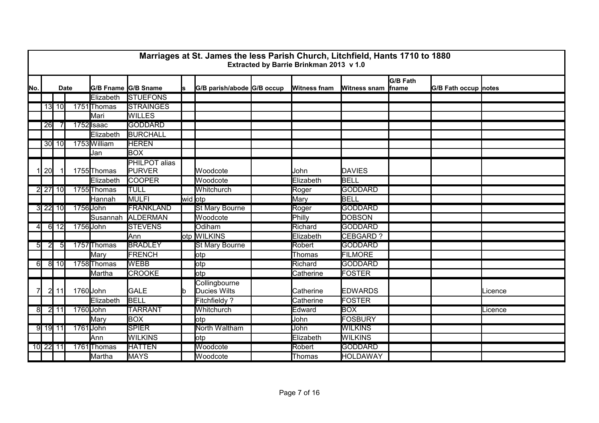|                |                |                           |             |              |                                |         | Marriages at St. James the less Parish Church, Litchfield, Hants 1710 to 1880 | Extracted by Barrie Brinkman 2013 v 1.0 |                     |                                  |                      |         |
|----------------|----------------|---------------------------|-------------|--------------|--------------------------------|---------|-------------------------------------------------------------------------------|-----------------------------------------|---------------------|----------------------------------|----------------------|---------|
| No.            |                |                           | <b>Date</b> |              | G/B Fname G/B Sname            | ls      | G/B parish/abode G/B occup                                                    | <b>Witness fnam</b>                     | <b>Witness snam</b> | <b>G/B Fath</b><br><i>f</i> name | G/B Fath occup notes |         |
|                |                |                           |             | Elizabeth    | <b>STUEFONS</b>                |         |                                                                               |                                         |                     |                                  |                      |         |
|                |                | 13 10                     |             | 1751 Thomas  | <b>STRAINGES</b>               |         |                                                                               |                                         |                     |                                  |                      |         |
|                |                |                           |             | Mari         | <b>WILLES</b>                  |         |                                                                               |                                         |                     |                                  |                      |         |
|                | 26             |                           |             | 1752 Isaac   | <b>GODDARD</b>                 |         |                                                                               |                                         |                     |                                  |                      |         |
|                |                |                           |             | Elizabeth    | <b>BURCHALL</b>                |         |                                                                               |                                         |                     |                                  |                      |         |
|                |                | $30$ 10                   |             | 1753 William | <b>HEREN</b>                   |         |                                                                               |                                         |                     |                                  |                      |         |
|                |                |                           |             | Jan          | <b>BOX</b>                     |         |                                                                               |                                         |                     |                                  |                      |         |
|                | 20             |                           |             | 1755 Thomas  | <b>PHILPOT alias</b><br>PURVER |         | Woodcote                                                                      | John                                    | DAVIES              |                                  |                      |         |
|                |                |                           |             | Elizabeth    | <b>COOPER</b>                  |         | Woodcote                                                                      | Elizabeth                               | BELL                |                                  |                      |         |
|                |                | 2 27 10                   |             | 1755 Thomas  | <b>TULL</b>                    |         | Whitchurch                                                                    | Roger                                   | <b>GODDARD</b>      |                                  |                      |         |
|                |                |                           |             | Hannah       | MULFI                          | wid otp |                                                                               | Mary                                    | <b>BELL</b>         |                                  |                      |         |
|                |                | 3 22 10                   |             | 1756 John    | <b>FRANKLAND</b>               |         | <b>St Mary Bourne</b>                                                         | Roger                                   | <b>GODDARD</b>      |                                  |                      |         |
|                |                |                           |             |              | Susannah ALDERMAN              |         | Woodcote                                                                      | Philly                                  | <b>DOBSON</b>       |                                  |                      |         |
| $\overline{4}$ |                | $6 \overline{\smash{12}}$ |             | 1756 John    | <b>STEVENS</b>                 |         | Odiham                                                                        | Richard                                 | <b>GODDARD</b>      |                                  |                      |         |
|                |                |                           |             |              | <b>Ann</b>                     |         | otp WILKINS                                                                   | Elizabeth                               | CEBGARD ?           |                                  |                      |         |
| 5              | $\overline{2}$ | $5 \mid$                  |             | 1757 Thomas  | <b>BRADLEY</b>                 |         | <b>St Mary Bourne</b>                                                         | Robert                                  | <b>GODDARD</b>      |                                  |                      |         |
|                |                |                           |             | Mary         | FRENCH                         |         | otp                                                                           | Thomas                                  | <b>FILMORE</b>      |                                  |                      |         |
| 61             |                | $8$ 10                    |             | 1758 Thomas  | <b>WEBB</b>                    |         | otp                                                                           | Richard                                 | <b>GODDARD</b>      |                                  |                      |         |
|                |                |                           |             | Martha       | <b>CROOKE</b>                  |         | otp                                                                           | Catherine                               | FOSTER              |                                  |                      |         |
|                |                | $2$ 11                    |             | 1760 John    | <b>GALE</b>                    |         | Collingbourne<br>Ducies Wilts                                                 | Catherine                               | <b>EDWARDS</b>      |                                  |                      | Licence |
|                |                |                           |             | Elizabeth    | <b>BELL</b>                    |         | Fitchfieldy ?                                                                 | Catherine                               | FOSTER              |                                  |                      |         |
| 8              |                | $2$ 11                    |             | 1760 John    | <b>TARRANT</b>                 |         | Whitchurch                                                                    | Edward                                  | <b>BOX</b>          |                                  |                      | Licence |
|                |                |                           |             | Mary         | <b>BOX</b>                     |         | lotp                                                                          | John                                    | FOSBURY             |                                  |                      |         |
|                |                | 9 19 11                   |             | 1761 John    | <b>SPIER</b>                   |         | North Waltham                                                                 | John                                    | <b>WILKINS</b>      |                                  |                      |         |
|                |                |                           |             | Ann          | <b>WILKINS</b>                 |         | lotp                                                                          | Elizabeth                               | <b>WILKINS</b>      |                                  |                      |         |
|                | 10 22 11       |                           |             | 1761 Thomas  | <b>HATTEN</b>                  |         | Woodcote                                                                      | Robert                                  | <b>GODDARD</b>      |                                  |                      |         |
|                |                |                           |             | Martha       | <b>MAYS</b>                    |         | Woodcote                                                                      | Thomas                                  | <b>HOLDAWAY</b>     |                                  |                      |         |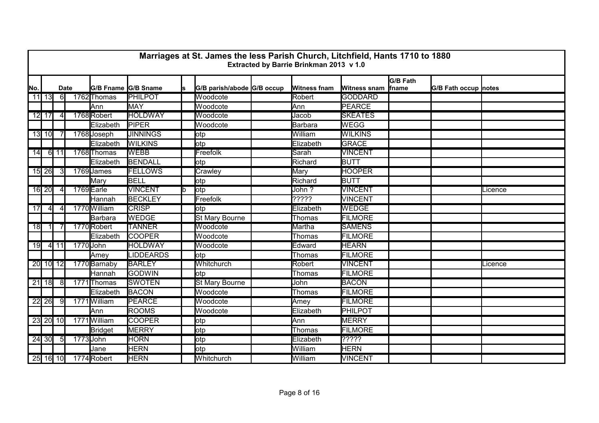|     |         |                |             |                |                     |    | Marriages at St. James the less Parish Church, Litchfield, Hants 1710 to 1880 | Extracted by Barrie Brinkman 2013 v 1.0 |                             |                           |                             |         |
|-----|---------|----------------|-------------|----------------|---------------------|----|-------------------------------------------------------------------------------|-----------------------------------------|-----------------------------|---------------------------|-----------------------------|---------|
| No. |         |                | <b>Date</b> |                | G/B Fname G/B Sname | ls | G/B parish/abode G/B occup                                                    | <b>Witness fnam</b>                     | Witness snam                | G/B Fath<br><b>Ifname</b> | <b>G/B Fath occup notes</b> |         |
|     | $11$ 13 | $6\sqrt{2}$    |             | 1762 Thomas    | <b>PHILPOT</b>      |    | Woodcote                                                                      | Robert                                  | <b>GODDARD</b>              |                           |                             |         |
|     |         |                |             | Ann            | MAY                 |    | Woodcote                                                                      | Ann                                     | PEARCE                      |                           |                             |         |
|     | $12$ 17 | $\overline{4}$ |             | 1768Robert     | <b>HOLDWAY</b>      |    | Woodcote                                                                      | Jacob                                   | <b>SKEATES</b>              |                           |                             |         |
|     |         |                |             | Elizabeth      | <b>PIPER</b>        |    | Woodcote                                                                      | Barbara                                 | <b>WEGG</b>                 |                           |                             |         |
|     | $13$ 10 |                |             | 1768 Joseph    | <b>JINNINGS</b>     |    | otp                                                                           | William                                 | <b>WILKINS</b>              |                           |                             |         |
|     |         |                |             | Elizabeth      | <b>WILKINS</b>      |    | lotp                                                                          | Elizabeth                               | <b>GRACE</b>                |                           |                             |         |
| 14  |         | $6$ 11         |             | 1768 Thomas    | <b>WEBB</b>         |    | Freefolk                                                                      | Sarah                                   | <b>VINCENT</b>              |                           |                             |         |
|     |         |                |             | Elizabeth      | BENDALL             |    | lotp                                                                          | Richard                                 | <b>BUTT</b>                 |                           |                             |         |
|     | $15$ 26 |                |             | 1769 James     | <b>FELLOWS</b>      |    | Crawley                                                                       | <b>Mary</b>                             | <b>HOOPER</b>               |                           |                             |         |
|     |         |                |             | Mary           | <b>BELL</b>         |    | lotp                                                                          | Richard                                 | <b>BUTT</b>                 |                           |                             |         |
|     | 16 20   |                |             | 1769 Earle     | <b>VINCENT</b>      |    | lotp                                                                          | John?                                   | <b>VINCENT</b>              |                           |                             | Licence |
|     |         |                |             | Hannah         | <b>BECKLEY</b>      |    | Freefolk                                                                      | ?????                                   | <b>VINCENT</b>              |                           |                             |         |
| 17  | 41      | 41             |             | 1770 William   | <b>CRISP</b>        |    | lotp                                                                          | Elizabeth                               | <b>WEDGE</b>                |                           |                             |         |
|     |         |                |             | Barbara        | <b>WEDGE</b>        |    | St Mary Bourne                                                                | Thomas                                  | <b>FILMORE</b>              |                           |                             |         |
| 18  | -11     |                |             | 1770 Robert    | <b>TANNER</b>       |    | Woodcote                                                                      | Martha                                  | <b>SAMENS</b>               |                           |                             |         |
|     |         |                |             | Elizabeth      | <b>COOPER</b>       |    | Woodcote                                                                      | <b>Thomas</b>                           | <b>FILMORE</b>              |                           |                             |         |
| 19  |         | $4 \mid 11$    |             | 1770 John      | <b>HOLDWAY</b>      |    | Woodcote                                                                      | Edward                                  | <b>HEARN</b>                |                           |                             |         |
|     |         |                |             | Amey           | <b>LIDDEARDS</b>    |    | lotp                                                                          | <b>Thomas</b>                           | FILMORE                     |                           |                             |         |
|     |         | $20 \ 10 \ 12$ |             | 1770 Barnaby   | <b>BARLEY</b>       |    | Whitchurch                                                                    | Robert                                  | <b>VINCENT</b>              |                           |                             | Licence |
|     |         |                |             | Hannah         | <b>GODWIN</b>       |    | lotp                                                                          | Thomas                                  | FILMORE                     |                           |                             |         |
|     | $21$ 18 | -81            |             | 1771 Thomas    | <b>SWOTEN</b>       |    | <b>St Mary Bourne</b>                                                         | John                                    | <b>BACON</b>                |                           |                             |         |
|     |         |                |             | Elizabeth      | <b>BACON</b>        |    | Woodcote                                                                      | Thomas                                  | FILMORE                     |                           |                             |         |
|     | 22 26   | 9              |             | 1771William    | <b>PEARCE</b>       |    | Woodcote                                                                      | Amey                                    | <b>FILMORE</b>              |                           |                             |         |
|     |         |                |             | <b>Ann</b>     | <b>ROOMS</b>        |    | Woodcote                                                                      | Elizabeth                               | PHILPOT                     |                           |                             |         |
|     |         | $23$ $20$ $10$ |             | 1771 William   | <b>COOPER</b>       |    | lotp                                                                          | Ann                                     | <b>MERRY</b>                |                           |                             |         |
|     |         |                |             | <b>Bridget</b> | <b>MERRY</b>        |    | otp                                                                           | Thomas                                  | <b>FILMORE</b>              |                           |                             |         |
|     | 24 30   | $5 \vert$      |             | 1773John       | <b>HORN</b>         |    | lotp                                                                          | Elizabeth                               | $\overline{??\overline ??}$ |                           |                             |         |
|     |         |                |             | Jane           | <b>HERN</b>         |    | otp                                                                           | William                                 | <b>HERN</b>                 |                           |                             |         |
|     |         | $25$ 16 10     |             | 1774 Robert    | <b>HERN</b>         |    | Whitchurch                                                                    | William                                 | <b>VINCENT</b>              |                           |                             |         |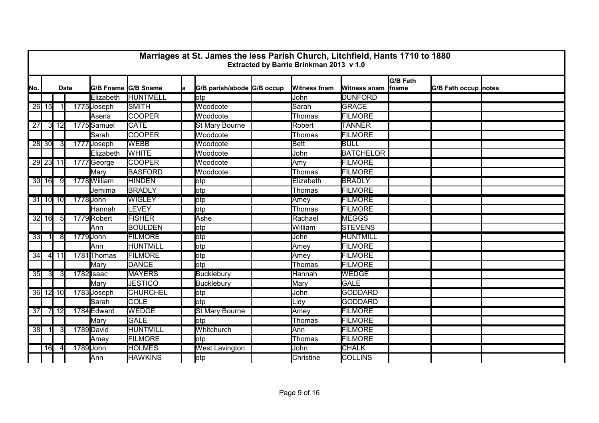|      |                |             |             |              |                     |    | Marriages at St. James the less Parish Church, Litchfield, Hants 1710 to 1880 | Extracted by Barrie Brinkman 2013 v 1.0 |                     |                                  |                             |  |
|------|----------------|-------------|-------------|--------------|---------------------|----|-------------------------------------------------------------------------------|-----------------------------------------|---------------------|----------------------------------|-----------------------------|--|
| ļΝo. |                |             | <b>Date</b> |              | G/B Fname G/B Sname | ls | G/B parish/abode G/B occup                                                    | <b>Witness fnam</b>                     | <b>Witness snam</b> | <b>G/B Fath</b><br><i>f</i> name | <b>G/B Fath occup notes</b> |  |
|      |                |             |             | Elizabeth    | <b>HUNTMELL</b>     |    | lotp                                                                          | John                                    | <b>DUNFORD</b>      |                                  |                             |  |
|      | $26$ 15        |             |             | 1775Joseph   | <b>SMITH</b>        |    | Woodcote                                                                      | Sarah                                   | <b>GRACE</b>        |                                  |                             |  |
|      |                |             |             | Asena        | <b>COOPER</b>       |    | Woodcote                                                                      | Thomas                                  | <b>FILMORE</b>      |                                  |                             |  |
| 27   |                | $3 \mid 12$ |             | 1775 Samuel  | <b>CATE</b>         |    | <b>St Mary Bourne</b>                                                         | Robert                                  | <b>TANNER</b>       |                                  |                             |  |
|      |                |             |             | Sarah        | <b>COOPER</b>       |    | Woodcote                                                                      | Thomas                                  | <b>FILMORE</b>      |                                  |                             |  |
|      | 28 30          | -3I         |             | 1777 Joseph  | <b>WEBB</b>         |    | Woodcote                                                                      | Bett                                    | <b>BULL</b>         |                                  |                             |  |
|      |                |             |             | Elizabeth    | <b>WHITE</b>        |    | Woodcote                                                                      | John                                    | <b>BATCHELOR</b>    |                                  |                             |  |
|      |                | 29 23 11    |             | 1777 George  | <b>COOPER</b>       |    | Woodcote                                                                      | Amy                                     | <b>FILMORE</b>      |                                  |                             |  |
|      |                |             |             | Mary         | <b>BASFORD</b>      |    | Woodcote                                                                      | Thomas                                  | <b>FILMORE</b>      |                                  |                             |  |
|      | 30 16          | -91         |             | 1778 William | <b>HINDEN</b>       |    | otp                                                                           | Elizabeth                               | <b>BRADLY</b>       |                                  |                             |  |
|      |                |             |             | Jemima       | <b>BRADLY</b>       |    | lotp                                                                          | Thomas                                  | FILMORE             |                                  |                             |  |
|      |                | $31$ 10 10  |             | 1778John     | <b>WIGLEY</b>       |    | otp                                                                           | Amey                                    | <b>FILMORE</b>      |                                  |                             |  |
|      |                |             |             | Hannah       | <b>LEVEY</b>        |    | otp                                                                           | Thomas                                  | FILMORE             |                                  |                             |  |
|      | $32$ 16        | -51         |             | 1779 Robert  | <b>FISHER</b>       |    | Ashe                                                                          | Rachael                                 | <b>MEGGS</b>        |                                  |                             |  |
|      |                |             |             | Ann          | <b>BOULDEN</b>      |    | otp                                                                           | William                                 | <b>STEVENS</b>      |                                  |                             |  |
| 33   |                | 81          |             | 1779 John    | <b>FILMORE</b>      |    | lotp                                                                          | John                                    | <b>HUNTMILL</b>     |                                  |                             |  |
|      |                |             |             | Ann          | <b>HUNTMILL</b>     |    | otp                                                                           | Amey                                    | <b>FILMORE</b>      |                                  |                             |  |
| 34   |                | 4 11        |             | 1781 Thomas  | <b>FILMORE</b>      |    | otp                                                                           | Amey                                    | <b>FILMORE</b>      |                                  |                             |  |
|      |                |             |             | Mary         | DANCE               |    | lotp                                                                          | Thomas                                  | FILMORE             |                                  |                             |  |
| 35   | $\overline{3}$ | 31          |             | 1782 Isaac   | <b>MAYERS</b>       |    | <b>Bucklebury</b>                                                             | Hannah                                  | <b>WEDGE</b>        |                                  |                             |  |
|      |                |             |             | Mary         | <b>JESTICO</b>      |    | <b>Bucklebury</b>                                                             | Mary                                    | <b>GALE</b>         |                                  |                             |  |
|      |                | 36 12 10    |             | 1783 Joseph  | <b>CHURCHEL</b>     |    | <b>l</b> otp                                                                  | John                                    | <b>GODDARD</b>      |                                  |                             |  |
|      |                |             |             | Sarah        | <b>COLE</b>         |    | lotp                                                                          | Lidy                                    | GODDARD             |                                  |                             |  |
| 37   |                | $7$ 12      |             | 1784 Edward  | <b>WEDGE</b>        |    | <b>St Mary Bourne</b>                                                         | Amey                                    | <b>FILMORE</b>      |                                  |                             |  |
|      |                |             |             | Mary         | GALE                |    | lotp                                                                          | Thomas                                  | <b>FILMORE</b>      |                                  |                             |  |
| 38   |                |             |             | 1789 David   | <b>HUNTMILL</b>     |    | Whitchurch                                                                    | Ann                                     | <b>FILMORE</b>      |                                  |                             |  |
|      |                |             |             | Amey         | <b>FILMORE</b>      |    | otp                                                                           | <b>Thomas</b>                           | <b>FILMORE</b>      |                                  |                             |  |
|      | <b>16</b>      | 41          |             | 1789 John    | <b>HOLMES</b>       |    | <b>West Lavington</b>                                                         | John                                    | <b>CHALK</b>        |                                  |                             |  |
|      |                |             |             | Ann          | <b>HAWKINS</b>      |    | otp                                                                           | Christine                               | <b>COLLINS</b>      |                                  |                             |  |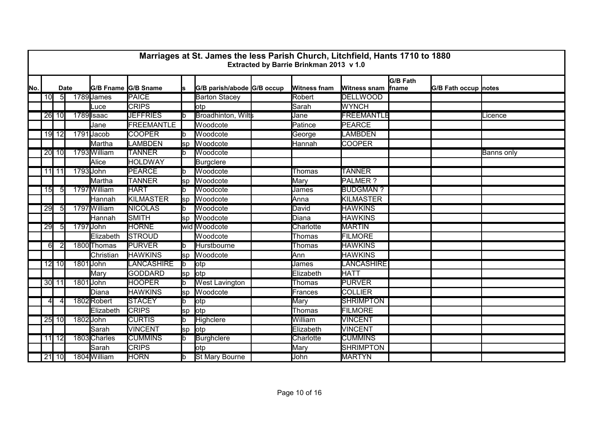|     |                |                |             |              |                     |     | Marriages at St. James the less Parish Church, Litchfield, Hants 1710 to 1880 | Extracted by Barrie Brinkman 2013 v 1.0 |                     |                   |                             |                   |
|-----|----------------|----------------|-------------|--------------|---------------------|-----|-------------------------------------------------------------------------------|-----------------------------------------|---------------------|-------------------|-----------------------------|-------------------|
| No. |                |                | <b>Date</b> |              | G/B Fname G/B Sname | ls  | G/B parish/abode G/B occup                                                    | <b>Witness fnam</b>                     | <b>Witness snam</b> | G/B Fath<br>fname | <b>G/B Fath occup notes</b> |                   |
|     | 10             | 5 <sub>l</sub> |             | 1789 James   | <b>PAICE</b>        |     | <b>Barton Stacey</b>                                                          | Robert                                  | <b>DELLWOOD</b>     |                   |                             |                   |
|     |                |                |             | Luce         | <b>CRIPS</b>        |     | lotp                                                                          | Sarah                                   | <b>WYNCH</b>        |                   |                             |                   |
|     |                | $26$ 10        |             | 1789 Isaac   | <b>JEFFRIES</b>     | lb  | Broadhinton, Wilts                                                            | Jane                                    | <b>FREEMANTLE</b>   |                   |                             | Licence           |
|     |                |                |             | Jane         | FREEMANTLE          |     | Woodcote                                                                      | Patince                                 | PEARCE              |                   |                             |                   |
|     |                | 19 12          |             | 1791 Jacob   | <b>COOPER</b>       |     | Woodcote                                                                      | George                                  | LAMBDEN             |                   |                             |                   |
|     |                |                |             | Martha       | LAMBDEN             | sp  | Woodcote                                                                      | Hannah                                  | <b>COOPER</b>       |                   |                             |                   |
|     |                | $20$ 10        |             | 1793 William | <b>TANNER</b>       | lb. | Woodcote                                                                      |                                         |                     |                   |                             | <b>Banns only</b> |
|     |                |                |             | Alice        | <b>HOLDWAY</b>      |     | <b>Burgclere</b>                                                              |                                         |                     |                   |                             |                   |
|     |                | 11 11          |             | 1793 John    | <b>PEARCE</b>       |     | Woodcote                                                                      | Thomas                                  | <b>TANNER</b>       |                   |                             |                   |
|     |                |                |             | Martha       | <b>TANNER</b>       | sp  | Woodcote                                                                      | Mary                                    | PALMER?             |                   |                             |                   |
|     | 15             | 51             |             | 1797 William | <b>HART</b>         | lh. | Woodcote                                                                      | James                                   | <b>BUDGMAN?</b>     |                   |                             |                   |
|     |                |                |             | Hannah       | KILMASTER           | lsp | Woodcote                                                                      | Anna                                    | KILMASTER           |                   |                             |                   |
|     | 29             | 51             |             | 1797 William | <b>NICOLAS</b>      |     | <b>Woodcote</b>                                                               | David                                   | <b>HAWKINS</b>      |                   |                             |                   |
|     |                |                |             | Hannah       | <b>SMITH</b>        | lsp | Woodcote                                                                      | Diana                                   | <b>HAWKINS</b>      |                   |                             |                   |
|     | 29             | 5I             |             | 1797 John    | <b>HORNE</b>        |     | wid Woodcote                                                                  | Charlotte                               | <b>MARTIN</b>       |                   |                             |                   |
|     |                |                |             | Elizabeth    | <b>STROUD</b>       |     | Woodcote                                                                      | Thomas                                  | <b>FILMORE</b>      |                   |                             |                   |
|     | 6              |                |             | 1800 Thomas  | <b>PURVER</b>       | lb  | Hurstbourne                                                                   | <b>Thomas</b>                           | <b>HAWKINS</b>      |                   |                             |                   |
|     |                |                |             | Christian    | <b>HAWKINS</b>      | lsp | Woodcote                                                                      | Ann                                     | <b>HAWKINS</b>      |                   |                             |                   |
|     |                | $12$ 10        |             | 1801 John    | <b>LANCASHIRE</b>   | lb. | lotp                                                                          | James                                   | LANCASHIRE          |                   |                             |                   |
|     |                |                |             | Mary         | <b>GODDARD</b>      | lsp | lotp                                                                          | Elizabeth                               | <b>HATT</b>         |                   |                             |                   |
|     |                | 30 11          |             | 1801 John    | <b>HOOPER</b>       |     | <b>West Lavington</b>                                                         | <b>Thomas</b>                           | <b>PURVER</b>       |                   |                             |                   |
|     |                |                |             | Diana        | <b>HAWKINS</b>      | lsp | Woodcote                                                                      | Frances                                 | <b>COLLIER</b>      |                   |                             |                   |
|     | $\overline{4}$ |                |             | 1802 Robert  | <b>STACEY</b>       |     | lotp                                                                          | Mary                                    | <b>SHRIMPTON</b>    |                   |                             |                   |
|     |                |                |             | Elizabeth    | <b>CRIPS</b>        | sp  | lotp                                                                          | <b>Thomas</b>                           | <b>FILMORE</b>      |                   |                             |                   |
|     |                | $25$ 10        |             | 1802 John    | <b>CURTIS</b>       | lb  | Highclere                                                                     | William                                 | <b>VINCENT</b>      |                   |                             |                   |
|     |                |                |             | Sarah        | <b>VINCENT</b>      | sp  | lotp                                                                          | Elizabeth                               | <b>VINCENT</b>      |                   |                             |                   |
|     |                | $11$ 12        |             | 1803 Charles | <b>CUMMINS</b>      |     | <b>Burghclere</b>                                                             | Charlotte                               | <b>CUMMINS</b>      |                   |                             |                   |
|     |                |                |             | Sarah        | <b>CRIPS</b>        |     | lotp                                                                          | Mary                                    | SHRIMPTON           |                   |                             |                   |
|     |                | $21$ 10        |             | 1804 William | <b>HORN</b>         | lb. | <b>St Mary Bourne</b>                                                         | John                                    | <b>MARTYN</b>       |                   |                             |                   |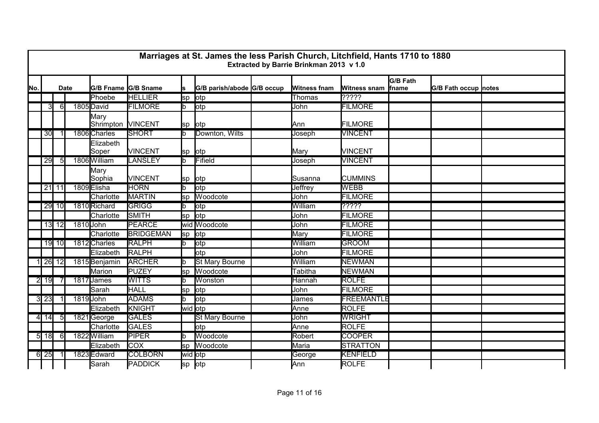|     |                  |                |             |                           |                     |         | Marriages at St. James the less Parish Church, Litchfield, Hants 1710 to 1880 | Extracted by Barrie Brinkman 2013 v 1.0 |                      |                                 |                      |  |
|-----|------------------|----------------|-------------|---------------------------|---------------------|---------|-------------------------------------------------------------------------------|-----------------------------------------|----------------------|---------------------------------|----------------------|--|
| No. |                  |                | <b>Date</b> |                           | G/B Fname G/B Sname |         | G/B parish/abode G/B occup                                                    | <b>Witness fnam</b>                     | <b>Witness snam</b>  | <b>G/B Fath</b><br><b>fname</b> | G/B Fath occup notes |  |
|     |                  |                |             | Phoebe                    | <b>HELLIER</b>      | lsp     | lotp                                                                          | Thomas                                  | $\overline{? ? ? ?}$ |                                 |                      |  |
|     | зI               | 61             |             | 1805 David                | <b>FILMORE</b>      | b.      | otp                                                                           | John                                    | <b>FILMORE</b>       |                                 |                      |  |
|     |                  |                |             | Mary<br>Shrimpton VINCENT |                     | lsp     | lotp                                                                          | Ann                                     | FILMORE              |                                 |                      |  |
|     | 30               |                |             | 1806 Charles              | <b>SHORT</b>        | lb.     | Downton, Wilts                                                                | Joseph                                  | <b>VINCENT</b>       |                                 |                      |  |
|     |                  |                |             | Elizabeth<br>Soper        | <b>VINCENT</b>      | sp lotp |                                                                               | Mary                                    | VINCENT              |                                 |                      |  |
|     | 29               | 5 <sub>l</sub> |             | 1806 William              | LANSLEY             | b.      | Fifield                                                                       | Joseph                                  | <b>VINCENT</b>       |                                 |                      |  |
|     |                  |                |             | Mary<br>Sophia            | <b>VINCENT</b>      | lsp     | <b>l</b> otp                                                                  | Susanna                                 | <b>CUMMINS</b>       |                                 |                      |  |
|     |                  | $21$ 11        |             | 1809 Elisha               | <b>HORN</b>         | b.      | lotp                                                                          | Jeffrey                                 | <b>WEBB</b>          |                                 |                      |  |
|     |                  |                |             | Charlotte                 | <b>MARTIN</b>       | sp      | Woodcote                                                                      | John                                    | <b>FILMORE</b>       |                                 |                      |  |
|     |                  | $29$ 10        |             | 1810 Richard              | <b>GRIGG</b>        | b.      | otp                                                                           | William                                 | ?????                |                                 |                      |  |
|     |                  |                |             | Charlotte                 | SMITH               | lsp     | lotp                                                                          | John                                    | <b>FILMORE</b>       |                                 |                      |  |
|     |                  | $13$ 12        |             | 1810 John                 | <b>PEARCE</b>       |         | wid Woodcote                                                                  | John                                    | <b>FILMORE</b>       |                                 |                      |  |
|     |                  |                |             | Charlotte                 | <b>BRIDGEMAN</b>    | lsp     | lotp                                                                          | Mary                                    | <b>FILMORE</b>       |                                 |                      |  |
|     |                  | 19 10          |             | 1812 Charles              | <b>RALPH</b>        | b.      | lotp                                                                          | William                                 | <b>GROOM</b>         |                                 |                      |  |
|     |                  |                |             | Elizabeth                 | <b>RALPH</b>        |         | otp                                                                           | John                                    | <b>FILMORE</b>       |                                 |                      |  |
|     | 1 26 12          |                |             | 1815 Benjamin             | <b>ARCHER</b>       |         | <b>St Mary Bourne</b>                                                         | William                                 | <b>NEWMAN</b>        |                                 |                      |  |
|     |                  |                |             | Marion                    | PUZEY               | lsp     | Woodcote                                                                      | <b>Tabitha</b>                          | <b>NEWMAN</b>        |                                 |                      |  |
|     | $2$ 19           |                |             | 1817 James                | <b>WITTS</b>        |         | Wonston                                                                       | Hannah                                  | <b>ROLFE</b>         |                                 |                      |  |
|     |                  |                |             | Sarah                     | <b>HALL</b>         | sp      | lotp                                                                          | John                                    | <b>FILMORE</b>       |                                 |                      |  |
|     | 3 23             |                |             | 1819 John                 | <b>ADAMS</b>        | b.      | lotp                                                                          | James                                   | <b>FREEMANTLE</b>    |                                 |                      |  |
|     |                  |                |             | Elizabeth                 | KNIGHT              | wid otp |                                                                               | Anne                                    | ROLFE                |                                 |                      |  |
|     | $4 \mid 14 \mid$ | -51            |             | 1821George                | <b>GALES</b>        |         | <b>St Mary Bourne</b>                                                         | John                                    | <b>WRIGHT</b>        |                                 |                      |  |
|     |                  |                |             | Charlotte                 | GALES               |         | otp                                                                           | Anne                                    | ROLFE                |                                 |                      |  |
|     | $5$ 18           | -61            |             | 1822 William              | <b>PIPER</b>        |         | Woodcote                                                                      | Robert                                  | <b>COOPER</b>        |                                 |                      |  |
|     |                  |                |             | Elizabeth                 | <b>COX</b>          | lsp     | Woodcote                                                                      | Maria                                   | STRATTON             |                                 |                      |  |
|     | $6\overline{25}$ |                |             | 1823 Edward               | <b>COLBORN</b>      | wid otp |                                                                               | George                                  | <b>KENFIELD</b>      |                                 |                      |  |
|     |                  |                |             | <b>Sarah</b>              | <b>PADDICK</b>      | lsp     | otp                                                                           | Ann                                     | <b>ROLFE</b>         |                                 |                      |  |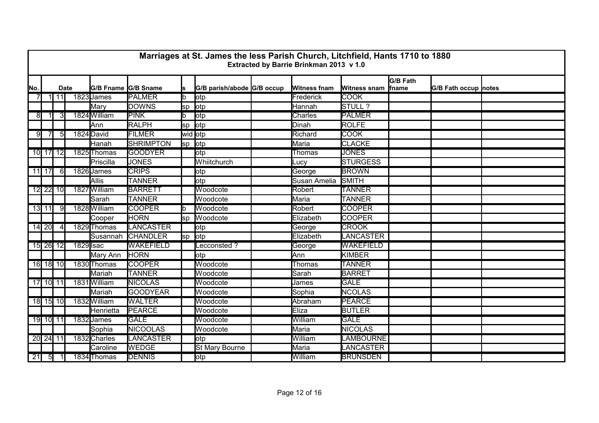|     |              |                 |             |              |                     |         | Marriages at St. James the less Parish Church, Litchfield, Hants 1710 to 1880 | Extracted by Barrie Brinkman 2013 v 1.0 |                     |                                  |                             |  |
|-----|--------------|-----------------|-------------|--------------|---------------------|---------|-------------------------------------------------------------------------------|-----------------------------------------|---------------------|----------------------------------|-----------------------------|--|
| No. |              |                 | <b>Date</b> |              | G/B Fname G/B Sname | s       | G/B parish/abode G/B occup                                                    | <b>Witness fnam</b>                     | <b>Witness snam</b> | <b>G/B Fath</b><br><i>f</i> name | <b>G/B Fath occup notes</b> |  |
|     |              | $\overline{11}$ |             | 1823 James   | <b>PALMER</b>       | lb.     | otp                                                                           | Frederick                               | <b>COOK</b>         |                                  |                             |  |
|     |              |                 |             | Mary         | <b>DOWNS</b>        | lsp     | lotp                                                                          | Hannah                                  | STULL ?             |                                  |                             |  |
| 8   |              | 31              |             | 1824 William | <b>PINK</b>         | lb      | lotp                                                                          | <b>Charles</b>                          | <b>PALMER</b>       |                                  |                             |  |
|     |              |                 |             | Ann          | RALPH               | sp      | lotp                                                                          | Dinah                                   | ROLFE               |                                  |                             |  |
| 9   | 7            | 51              |             | 1824 David   | <b>FILMER</b>       |         | wid otp                                                                       | Richard                                 | <b>COOK</b>         |                                  |                             |  |
|     |              |                 |             | Hanah        | <b>SHRIMPTON</b>    | sp lotp |                                                                               | Maria                                   | <b>CLACKE</b>       |                                  |                             |  |
|     |              | 10 17 12        |             | 1825 Thomas  | <b>GOODYER</b>      |         | otp                                                                           | <b>Thomas</b>                           | <b>JONES</b>        |                                  |                             |  |
|     |              |                 |             | Priscilla    | <b>JONES</b>        |         | Whiitchurch                                                                   | Lucy                                    | <b>STURGESS</b>     |                                  |                             |  |
|     | 11 17        | 61              |             | 1826 James   | <b>CRIPS</b>        |         | <b>l</b> otp                                                                  | George                                  | <b>BROWN</b>        |                                  |                             |  |
|     |              |                 |             | Allis        | <b>TANNER</b>       |         | lotp                                                                          | Susan Amelia                            | <b>SMITH</b>        |                                  |                             |  |
|     |              | 12 22 10        |             | 1827 William | <b>BARRETT</b>      |         | Woodcote                                                                      | Robert                                  | <b>TANNER</b>       |                                  |                             |  |
|     |              |                 |             | Sarah        | <b>TANNER</b>       |         | Woodcote                                                                      | Maria                                   | <b>TANNER</b>       |                                  |                             |  |
|     | 13 11        | 91              |             | 1828 William | <b>COOPER</b>       | lb.     | Woodcote                                                                      | Robert                                  | <b>COOPER</b>       |                                  |                             |  |
|     |              |                 |             | Cooper       | <b>HORN</b>         | sp      | Woodcote                                                                      | Elizabeth                               | <b>COOPER</b>       |                                  |                             |  |
|     | 14 20        |                 |             | 1829 Thomas  | <b>LANCASTER</b>    |         | otp                                                                           | George                                  | <b>CROOK</b>        |                                  |                             |  |
|     |              |                 |             | Susannah     | <b>CHANDLER</b>     | lsp     | lotp                                                                          | Elizabeth                               | <b>LANCASTER</b>    |                                  |                             |  |
|     |              | 15 26 12        | 1829 Isac   |              | <b>WAKEFIELD</b>    |         | ecconsted?                                                                    | George                                  | <b>WAKEFIELD</b>    |                                  |                             |  |
|     |              |                 |             | Mary Ann     | <b>HORN</b>         |         | otp                                                                           | Ann                                     | KIMBER              |                                  |                             |  |
|     |              | 16 18 10        |             | 1830 Thomas  | <b>COOPER</b>       |         | Woodcote                                                                      | Thomas                                  | <b>TANNER</b>       |                                  |                             |  |
|     |              |                 |             | Mariah       | <b>TANNER</b>       |         | Woodcote                                                                      | Sarah                                   | <b>BARRET</b>       |                                  |                             |  |
|     |              | 17 10 11        |             | 1831 William | <b>NICOLAS</b>      |         | Woodcote                                                                      | James                                   | <b>GALE</b>         |                                  |                             |  |
|     |              |                 |             | Mariah       | <b>GOODYEAR</b>     |         | Woodcote                                                                      | Sophia                                  | <b>NCOLAS</b>       |                                  |                             |  |
|     |              | 18 15 10        |             | 1832 William | <b>WALTER</b>       |         | Woodcote                                                                      | Abraham                                 | <b>PEARCE</b>       |                                  |                             |  |
|     |              |                 |             | Henrietta    | PEARCE              |         | Woodcote                                                                      | Eliza                                   | <b>BUTLER</b>       |                                  |                             |  |
|     |              | 19 10 11        |             | 1832 James   | <b>GALE</b>         |         | Woodcote                                                                      | William                                 | <b>GALE</b>         |                                  |                             |  |
|     |              |                 |             | Sophia       | <b>NICOOLAS</b>     |         | Woodcote                                                                      | Maria                                   | <b>NICOLAS</b>      |                                  |                             |  |
|     | 20 24 11     |                 |             | 1832 Charles | <b>LANCASTER</b>    |         | otp                                                                           | William                                 | <b>LAMBOURNE</b>    |                                  |                             |  |
|     |              |                 |             | Caroline     | <b>WEDGE</b>        |         | St Mary Bourne                                                                | Maria                                   | <b>LANCASTER</b>    |                                  |                             |  |
|     | $21 \quad 5$ |                 |             | 1834 Thomas  | <b>DENNIS</b>       |         | otp                                                                           | William                                 | <b>BRUNSDEN</b>     |                                  |                             |  |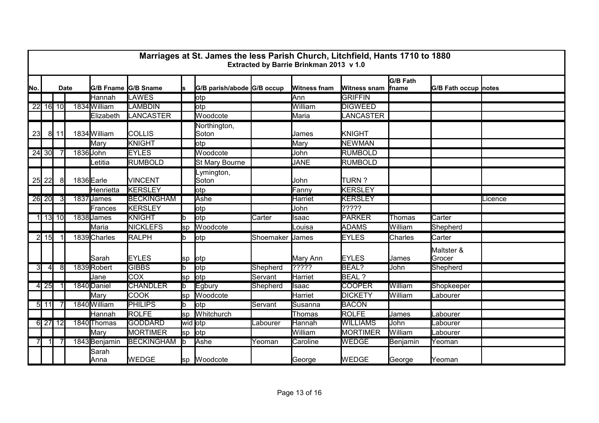|      | Marriages at St. James the less Parish Church, Litchfield, Hants 1710 to 1880<br>Extracted by Barrie Brinkman 2013 v 1.0 |          |  |                     |                   |         |                            |           |                     |                     |                                  |                             |         |
|------|--------------------------------------------------------------------------------------------------------------------------|----------|--|---------------------|-------------------|---------|----------------------------|-----------|---------------------|---------------------|----------------------------------|-----------------------------|---------|
| lNo. | <b>Date</b>                                                                                                              |          |  | G/B Fname G/B Sname |                   | ls      | G/B parish/abode G/B occup |           | <b>Witness fnam</b> | <b>Witness snam</b> | <b>G/B Fath</b><br><b>f</b> name | <b>G/B Fath occup notes</b> |         |
|      |                                                                                                                          |          |  | Hannah              | <b>LAWES</b>      |         | lotp                       |           | Ann                 | <b>GRIFFIN</b>      |                                  |                             |         |
|      |                                                                                                                          | 22 16 10 |  | 1834 William        | <b>LAMBDIN</b>    |         | lotp                       |           | William             | <b>DIGWEED</b>      |                                  |                             |         |
|      |                                                                                                                          |          |  | Elizabeth           | <b>LANCASTER</b>  |         | Woodcote                   |           | Maria               | <b>LANCASTER</b>    |                                  |                             |         |
| 23   |                                                                                                                          | 8   11   |  | 1834 William        | <b>COLLIS</b>     |         | Northington,<br>Soton      |           | James               | KNIGHT              |                                  |                             |         |
|      |                                                                                                                          |          |  | Mary                | <b>KNIGHT</b>     |         | otp                        |           | Mary                | <b>NEWMAN</b>       |                                  |                             |         |
|      | $24$ 30                                                                                                                  |          |  | 1836 John           | <b>EYLES</b>      |         | Woodcote                   |           | John                | <b>RUMBOLD</b>      |                                  |                             |         |
|      |                                                                                                                          |          |  | Letitia             | RUMBOLD           |         | <b>St Mary Bourne</b>      |           | <b>JANE</b>         | <b>RUMBOLD</b>      |                                  |                             |         |
| 25   | 22                                                                                                                       | 8        |  | 1836Earle           | <b>VINCENT</b>    |         | _ymington,<br>Soton        |           | John                | TURN?               |                                  |                             |         |
|      |                                                                                                                          |          |  | Henrietta           | <b>KERSLEY</b>    |         | otp                        |           | Fanny               | <b>KERSLEY</b>      |                                  |                             |         |
|      | 26 20                                                                                                                    | 31       |  | 1837 James          | <b>BECKINGHAM</b> |         | Ashe                       |           | Harriet             | <b>KERSLEY</b>      |                                  |                             | Licence |
|      |                                                                                                                          |          |  | Frances             | KERSLEY           |         | lotp                       |           | John                | ?????               |                                  |                             |         |
|      |                                                                                                                          | $13$ 10  |  | 1838 James          | <b>KNIGHT</b>     |         | lotp                       | Carter    | Isaac               | <b>PARKER</b>       | Thomas                           | Carter                      |         |
|      |                                                                                                                          |          |  | Maria               | <b>NICKLEFS</b>   | sp      | Woodcote                   |           | ∟ouisa              | <b>ADAMS</b>        | William                          | Shepherd                    |         |
|      | $2$ 15                                                                                                                   |          |  | 1839 Charles        | <b>RALPH</b>      | b       | lotp                       | Shoemaker | <b>James</b>        | <b>EYLES</b>        | Charles                          | Carter                      |         |
|      |                                                                                                                          |          |  | Sarah               | <b>EYLES</b>      | lsp     | lotp                       |           | Mary Ann            | <b>EYLES</b>        | James                            | Maltster &<br>Grocer        |         |
| 31   | $\overline{4}$                                                                                                           | 8        |  | 1839 Robert         | <b>GIBBS</b>      |         | otp                        | Shepherd  | ?????               | BEAL?               | <b>John</b>                      | Shepherd                    |         |
|      |                                                                                                                          |          |  | Jane                | <b>COX</b>        | sp      | lotp                       | Servant   | Harriet             | BEAL ?              |                                  |                             |         |
|      | $\overline{4}$ 25                                                                                                        |          |  | 1840 Daniel         | <b>CHANDLER</b>   | b.      | Egbury                     | Shepherd  | Isaac               | <b>COOPER</b>       | William                          | Shopkeeper                  |         |
|      |                                                                                                                          |          |  | Mary                | <b>COOK</b>       | sp      | Woodcote                   |           | <b>Harriet</b>      | <b>DICKETY</b>      | William                          | Labourer                    |         |
|      | $5 \overline{11}$                                                                                                        |          |  | 1840 William        | <b>PHILIPS</b>    | lb.     | lotp                       | Servant   | Susanna             | <b>BACON</b>        |                                  |                             |         |
|      |                                                                                                                          |          |  | Hannah              | <b>ROLFE</b>      | sp      | Whitchurch                 |           | Thomas              | <b>ROLFE</b>        | James                            | Labourer                    |         |
|      |                                                                                                                          | 6 27 12  |  | 1840 Thomas         | <b>GODDARD</b>    | wid otp |                            | Labourer  | Hannah              | <b>WILLIAMS</b>     | John                             | _abourer                    |         |
|      |                                                                                                                          |          |  | Mary                | <b>MORTIMER</b>   | sp      | lotp                       |           | William             | MORTIMER            | William                          | Labourer                    |         |
|      |                                                                                                                          |          |  | 1843 Benjamin       | <b>BECKINGHAM</b> | lb.     | Ashe                       | Yeoman    | Caroline            | <b>WEDGE</b>        | Benjamin                         | Yeoman                      |         |
|      |                                                                                                                          |          |  | Sarah<br>Anna       | <b>WEDGE</b>      |         | sp Woodcote                |           | George              | <b>WEDGE</b>        | George                           | Yeoman                      |         |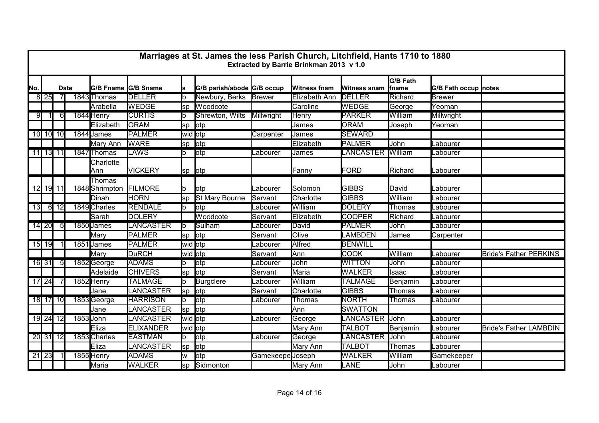|     | Marriages at St. James the less Parish Church, Litchfield, Hants 1710 to 1880<br>Extracted by Barrie Brinkman 2013 v 1.0 |                   |  |                          |                  |           |                            |                         |                     |                     |                          |                      |                               |
|-----|--------------------------------------------------------------------------------------------------------------------------|-------------------|--|--------------------------|------------------|-----------|----------------------------|-------------------------|---------------------|---------------------|--------------------------|----------------------|-------------------------------|
| No. | <b>Date</b>                                                                                                              |                   |  | G/B Fname G/B Sname      |                  |           | G/B parish/abode G/B occup |                         | <b>Witness fnam</b> | <b>Witness snam</b> | <b>G/B Fath</b><br>fname | G/B Fath occup notes |                               |
|     | $8$   25                                                                                                                 |                   |  | 1843 Thomas              | <b>DELLER</b>    | lb        | Newbury, Berks Brewer      |                         | Elizabeth Ann       | <b>DELLER</b>       | Richard                  | <b>Brewer</b>        |                               |
|     |                                                                                                                          |                   |  | Arabella                 | <b>WEDGE</b>     | sp        | Woodcote                   |                         | Caroline            | <b>WEDGE</b>        | George                   | Yeoman               |                               |
| 9   |                                                                                                                          | 61                |  | 1844 Henry               | <b>CURTIS</b>    | lh.       | Shrewton, Wilts            | Millwright              | <b>Henry</b>        | <b>PARKER</b>       | William                  | Millwright           |                               |
|     |                                                                                                                          |                   |  | Elizabeth                | <b>ORAM</b>      | lsp       | lotp                       |                         | James               | <b>ORAM</b>         | Joseph                   | Yeoman               |                               |
|     |                                                                                                                          | 10 10 10          |  | 1844 James               | <b>PALMER</b>    | wid otp   |                            | Carpenter               | James               | <b>SEWARD</b>       |                          |                      |                               |
|     |                                                                                                                          |                   |  | Mary Ann                 | <b>WARE</b>      | sp        | lotp                       |                         | Elizabeth           | PALMER              | John                     | Labourer             |                               |
|     | 11 13 11                                                                                                                 |                   |  | 1847 Thomas              | LAWS             | lb        | lotp                       | Labourer                | James               | <b>LANCASTER</b>    | William                  | Labourer             |                               |
|     |                                                                                                                          |                   |  | Charlotte<br>Ann         | <b>VICKERY</b>   | sp lotp   |                            |                         | Fanny               | FORD                | Richard                  | Labourer             |                               |
|     |                                                                                                                          | 12 19 11          |  | Thomas<br>1848 Shrimpton | <b>FILMORE</b>   | b         | lotp                       | Labourer                | Solomon             | <b>GIBBS</b>        | David                    | Labourer             |                               |
|     |                                                                                                                          |                   |  | Dinah                    | <b>HORN</b>      | sp        | St Mary Bourne             | Servant                 | Charlotte           | <b>GIBBS</b>        | William                  | Labourer             |                               |
| 13  |                                                                                                                          | $6 \overline{12}$ |  | 1849 Charles             | <b>RENDALE</b>   | lb        | lotp                       | Labourer                | William             | <b>DOLERY</b>       | Thomas                   | Labourer             |                               |
|     |                                                                                                                          |                   |  | Sarah                    | <b>DOLERY</b>    |           | Woodcote                   | Servant                 | Elizabeth           | <b>COOPER</b>       | Richard                  | Labourer             |                               |
|     | $14$ 20                                                                                                                  | $5 \mathsf{I}$    |  | 1850 James               | LANCASTER        | lb        | Sulham                     | _abourer                | David               | <b>PALMER</b>       | John                     | Labourer             |                               |
|     |                                                                                                                          |                   |  | Mary                     | PALMER           | sp        | lotp                       | Servant                 | Olive               | <b>LAMBDEN</b>      | James                    | Carpenter            |                               |
|     | 15 19                                                                                                                    |                   |  | 1851 James               | <b>PALMER</b>    | wid otp   |                            | Labourer                | <b>Alfred</b>       | <b>BENWILL</b>      |                          |                      |                               |
|     |                                                                                                                          |                   |  | Mary                     | <b>DuRCH</b>     | wid otp   |                            | Servant                 | Ann                 | <b>COOK</b>         | William                  | Labourer             | <b>Bride's Father PERKINS</b> |
|     | 16 31                                                                                                                    | -51               |  | 1852George               | <b>ADAMS</b>     | Ib        | lotp                       | Labourer                | John                | <b>WITTON</b>       | John                     | Labourer             |                               |
|     |                                                                                                                          |                   |  | Adelaide                 | <b>CHIVERS</b>   | sp        | lotp                       | Servant                 | Maria               | <b>WALKER</b>       | Isaac                    | Labourer             |                               |
|     | $17$ 24                                                                                                                  |                   |  | 1852 Henry               | <b>TALMAGE</b>   | lb        | <b>Burgclere</b>           | _abourer                | William             | <b>TALMAGE</b>      | Benjamin                 | Labourer             |                               |
|     |                                                                                                                          |                   |  | Jane                     | LANCASTER        | lsp       | lotp                       | Servant                 | Charlotte           | <b>GIBBS</b>        | Thomas                   | _abourer             |                               |
|     |                                                                                                                          | 18 17 10          |  | 1853George               | <b>HARRISON</b>  | lb.       | lotp                       | Labourer                | Thomas              | <b>NORTH</b>        | Thomas                   | Labourer             |                               |
|     |                                                                                                                          |                   |  | Jane                     | LANCASTER        | sp        | lotp                       |                         | Ann                 | <b>SWATTON</b>      |                          |                      |                               |
|     |                                                                                                                          | 19 24 12          |  | 1853 John                | <b>LANCASTER</b> | wid otp   |                            | _abourer                | George              | LANCASTER John      |                          | Labourer             |                               |
|     |                                                                                                                          |                   |  | Eliza                    | <b>ELIXANDER</b> | wid otp   |                            |                         | Mary Ann            | <b>TALBOT</b>       | <b>Benjamin</b>          | Labourer             | <b>Bride's Father LAMBDIN</b> |
|     |                                                                                                                          | 20 31 12          |  | 1853 Charles             | <b>EASTMAN</b>   | lb        | lotp                       | Labourer                | George              | <b>LANCASTER</b>    | <b>John</b>              | Labourer             |                               |
|     |                                                                                                                          |                   |  | Eliza                    | LANCASTER        | <b>sp</b> | lotp                       |                         | Mary Ann            | <b>TALBOT</b>       | Thomas                   | Labourer             |                               |
|     | $21$ 23                                                                                                                  |                   |  | 1855 Henry               | <b>ADAMS</b>     | w         | lotp                       | <b>Gamekeepe</b> Joseph |                     | <b>WALKER</b>       | William                  | Gamekeeper           |                               |
|     |                                                                                                                          |                   |  | Maria                    | <b>WALKER</b>    | sp        | Sidmonton                  |                         | Mary Ann            | LANE                | John                     | Labourer             |                               |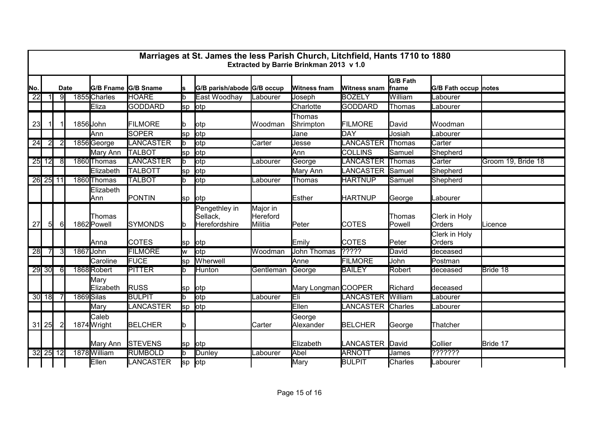|                 | Marriages at St. James the less Parish Church, Litchfield, Hants 1710 to 1880<br>Extracted by Barrie Brinkman 2013 v 1.0 |                |  |                       |                  |     |                                            |                                 |                     |                     |                           |                         |                    |
|-----------------|--------------------------------------------------------------------------------------------------------------------------|----------------|--|-----------------------|------------------|-----|--------------------------------------------|---------------------------------|---------------------|---------------------|---------------------------|-------------------------|--------------------|
| No.             | <b>Date</b>                                                                                                              |                |  | G/B Fname G/B Sname   |                  | s   | G/B parish/abode G/B occup                 |                                 | <b>Witness fnam</b> | <b>Witness snam</b> | <b>G/B Fath</b><br> fname | G/B Fath occup notes    |                    |
| $\overline{22}$ |                                                                                                                          | 91             |  | 1855 Charles          | <b>HOARE</b>     | b   | East Woodhay                               | Labourer                        | Joseph              | <b>BOZELY</b>       | William                   | Labourer                |                    |
|                 |                                                                                                                          |                |  | Eliza                 | <b>GODDARD</b>   | lsp | lotp                                       |                                 | Charlotte           | GODDARD             | Thomas                    | Labourer                |                    |
| 23              |                                                                                                                          |                |  | 1856 John             | <b>FILMORE</b>   |     | <b>l</b> otp                               | Woodman                         | Thomas<br>Shrimpton | <b>FILMORE</b>      | David                     | Woodman                 |                    |
|                 |                                                                                                                          |                |  | <b>Ann</b>            | <b>SOPER</b>     | lsp | otp                                        |                                 | Jane                | DAY                 | Josiah                    | _abourer                |                    |
| 24              | $\mathbf{2}$                                                                                                             |                |  | 1856George            | LANCASTER        | b   | <b>l</b> otp                               | Carter                          | Jesse               | <b>LANCASTER</b>    | Thomas                    | Carter                  |                    |
|                 |                                                                                                                          |                |  | Mary Ann              | <b>TALBOT</b>    | lsp | lotp                                       |                                 | Ann                 | <b>COLLINS</b>      | Samuel                    | Shepherd                |                    |
|                 | $25$ 12                                                                                                                  | -81            |  | 1860 Thomas           | <b>LANCASTER</b> | lb. | otp                                        | Labourer                        | George              | <b>LANCASTER</b>    | Thomas                    | Carter                  | Groom 19, Bride 18 |
|                 |                                                                                                                          |                |  | Elizabeth             | <b>TALBOTT</b>   | lsp | lotp                                       |                                 | Mary Ann            | LANCASTER           | Samuel                    | Shepherd                |                    |
|                 | 26 25 11                                                                                                                 |                |  | 1860 Thomas           | <b>TALBOT</b>    | b   | otp                                        | Labourer                        | Thomas              | <b>HARTNUP</b>      | Samuel                    | Shepherd                |                    |
|                 |                                                                                                                          |                |  | Elizabeth<br>Ann      | PONTIN           |     | sp otp                                     |                                 | Esther              | <b>HARTNUP</b>      | George                    | Labourer                |                    |
| 27              | 5 <sup>1</sup>                                                                                                           | -61            |  | Thomas<br>1862 Powell | <b>SYMONDS</b>   | b   | Pengethley in<br>Sellack,<br>Herefordshire | Major in<br>Hereford<br>Militia | Peter               | <b>COTES</b>        | <b>Thomas</b><br>Powell   | Clerk in Holy<br>Orders | Licence            |
|                 |                                                                                                                          |                |  | <b>Anna</b>           | <b>COTES</b>     | lsp | lotp                                       |                                 | Emily               | <b>COTES</b>        | Peter                     | Clerk in Holy<br>Orders |                    |
| 28              | 71                                                                                                                       | $\overline{3}$ |  | 1867 John             | <b>FILMORE</b>   | w   | otp                                        | Woodman                         | <b>John Thomas</b>  | 2222                | David                     | deceased                |                    |
|                 |                                                                                                                          |                |  | Caroline              | <b>FUCE</b>      | lsp | Wherwell                                   |                                 | Anne                | <b>FILMORE</b>      | John                      | Postman                 |                    |
|                 | $29$ 30                                                                                                                  | 61             |  | 1868Robert            | <b>PITTER</b>    | b   | <b>Hunton</b>                              | Gentleman                       | George              | <b>BAILEY</b>       | Robert                    | deceased                | Bride 18           |
|                 |                                                                                                                          |                |  | Mary<br>Elizabeth     | <b>RUSS</b>      | lsp | <b>l</b> otp                               |                                 | Mary Longman COOPER |                     | Richard                   | deceased                |                    |
|                 | 30 18                                                                                                                    |                |  | 1869 Silas            | <b>BULPIT</b>    |     | otp                                        | _abourer                        | Eli                 | LANCASTER           | William                   | _abourer                |                    |
|                 |                                                                                                                          |                |  | Mary                  | LANCASTER        | lsp | lotp                                       |                                 | Ellen               | LANCASTER Charles   |                           | _abourer                |                    |
|                 | $31$ 25                                                                                                                  |                |  | Caleb<br>1874 Wright  | <b>BELCHER</b>   |     |                                            | Carter                          | George<br>Alexander | <b>BELCHER</b>      | George                    | Thatcher                |                    |
|                 |                                                                                                                          |                |  | Mary Ann              | <b>STEVENS</b>   | lsp | lotp                                       |                                 | Elizabeth           | LANCASTER David     |                           | Collier                 | Bride 17           |
|                 | 32 25 12                                                                                                                 |                |  | 1878 William          | <b>RUMBOLD</b>   | lb. | Dunley                                     | Labourer                        | Abel                | <b>ARNOTT</b>       | James                     | ???????                 |                    |
|                 |                                                                                                                          |                |  | Ellen                 | LANCASTER        | sp  | otp                                        |                                 | Mary                | <b>BULPIT</b>       | Charles                   | Labourer                |                    |